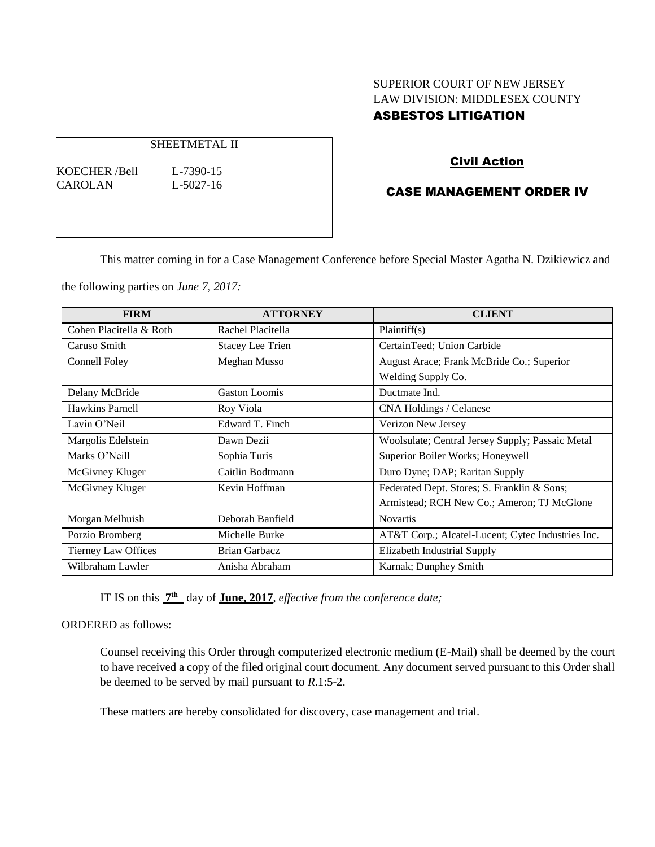# SUPERIOR COURT OF NEW JERSEY LAW DIVISION: MIDDLESEX COUNTY ASBESTOS LITIGATION

#### SHEETMETAL II

KOECHER /Bell L-7390-15 CAROLAN L-5027-16

## Civil Action

## CASE MANAGEMENT ORDER IV

This matter coming in for a Case Management Conference before Special Master Agatha N. Dzikiewicz and

the following parties on *June 7, 2017:*

| <b>FIRM</b>             | <b>ATTORNEY</b>         | <b>CLIENT</b>                                     |
|-------------------------|-------------------------|---------------------------------------------------|
| Cohen Placitella & Roth | Rachel Placitella       | Plaintiff(s)                                      |
| Caruso Smith            | <b>Stacey Lee Trien</b> | CertainTeed; Union Carbide                        |
| Connell Foley           | Meghan Musso            | August Arace; Frank McBride Co.; Superior         |
|                         |                         | Welding Supply Co.                                |
| Delany McBride          | <b>Gaston Loomis</b>    | Ductmate Ind.                                     |
| Hawkins Parnell         | Roy Viola               | CNA Holdings / Celanese                           |
| Lavin O'Neil            | Edward T. Finch         | Verizon New Jersey                                |
| Margolis Edelstein      | Dawn Dezii              | Woolsulate; Central Jersey Supply; Passaic Metal  |
| Marks O'Neill           | Sophia Turis            | Superior Boiler Works; Honeywell                  |
| McGivney Kluger         | Caitlin Bodtmann        | Duro Dyne; DAP; Raritan Supply                    |
| McGivney Kluger         | Kevin Hoffman           | Federated Dept. Stores; S. Franklin & Sons;       |
|                         |                         | Armistead; RCH New Co.; Ameron; TJ McGlone        |
| Morgan Melhuish         | Deborah Banfield        | <b>Novartis</b>                                   |
| Porzio Bromberg         | Michelle Burke          | AT&T Corp.; Alcatel-Lucent; Cytec Industries Inc. |
| Tierney Law Offices     | <b>Brian Garbacz</b>    | <b>Elizabeth Industrial Supply</b>                |
| Wilbraham Lawler        | Anisha Abraham          | Karnak; Dunphey Smith                             |

IT IS on this  $7<sup>th</sup>$  day of **June, 2017**, *effective from the conference date*;

ORDERED as follows:

Counsel receiving this Order through computerized electronic medium (E-Mail) shall be deemed by the court to have received a copy of the filed original court document. Any document served pursuant to this Order shall be deemed to be served by mail pursuant to *R*.1:5-2.

These matters are hereby consolidated for discovery, case management and trial.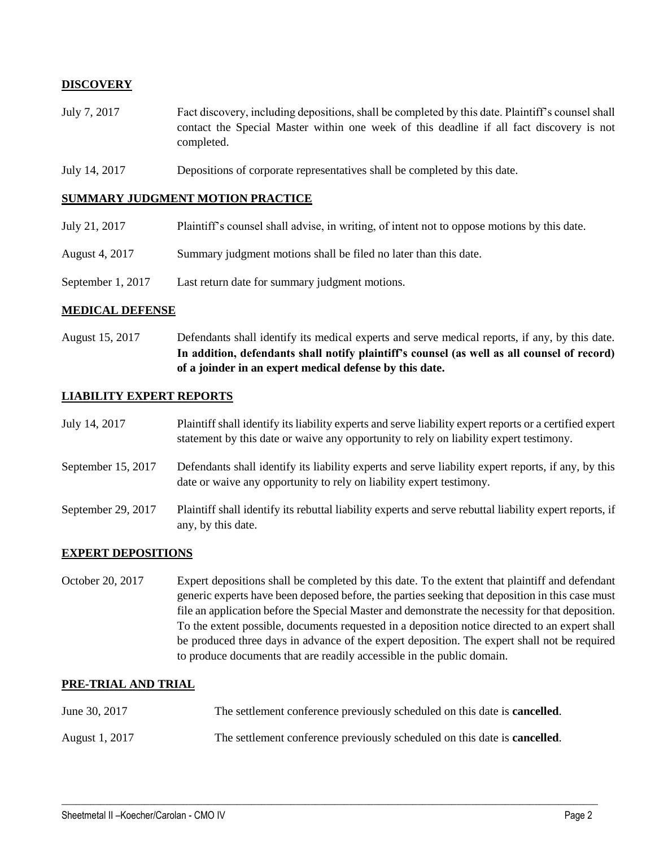## **DISCOVERY**

- July 7, 2017 Fact discovery, including depositions, shall be completed by this date. Plaintiff's counsel shall contact the Special Master within one week of this deadline if all fact discovery is not completed.
- July 14, 2017 Depositions of corporate representatives shall be completed by this date.

### **SUMMARY JUDGMENT MOTION PRACTICE**

- July 21, 2017 Plaintiff's counsel shall advise, in writing, of intent not to oppose motions by this date.
- August 4, 2017 Summary judgment motions shall be filed no later than this date.
- September 1, 2017 Last return date for summary judgment motions.

## **MEDICAL DEFENSE**

August 15, 2017 Defendants shall identify its medical experts and serve medical reports, if any, by this date. **In addition, defendants shall notify plaintiff's counsel (as well as all counsel of record) of a joinder in an expert medical defense by this date.**

### **LIABILITY EXPERT REPORTS**

| July 14, 2017      | Plaintiff shall identify its liability experts and serve liability expert reports or a certified expert<br>statement by this date or waive any opportunity to rely on liability expert testimony. |
|--------------------|---------------------------------------------------------------------------------------------------------------------------------------------------------------------------------------------------|
| September 15, 2017 | Defendants shall identify its liability experts and serve liability expert reports, if any, by this<br>date or waive any opportunity to rely on liability expert testimony.                       |
| September 29, 2017 | Plaintiff shall identify its rebuttal liability experts and serve rebuttal liability expert reports, if<br>any, by this date.                                                                     |

### **EXPERT DEPOSITIONS**

October 20, 2017 Expert depositions shall be completed by this date. To the extent that plaintiff and defendant generic experts have been deposed before, the parties seeking that deposition in this case must file an application before the Special Master and demonstrate the necessity for that deposition. To the extent possible, documents requested in a deposition notice directed to an expert shall be produced three days in advance of the expert deposition. The expert shall not be required to produce documents that are readily accessible in the public domain.

### **PRE-TRIAL AND TRIAL**

| June 30, 2017  | The settlement conference previously scheduled on this date is <b>cancelled</b> . |
|----------------|-----------------------------------------------------------------------------------|
| August 1, 2017 | The settlement conference previously scheduled on this date is <b>cancelled</b> . |

 $\_$  ,  $\_$  ,  $\_$  ,  $\_$  ,  $\_$  ,  $\_$  ,  $\_$  ,  $\_$  ,  $\_$  ,  $\_$  ,  $\_$  ,  $\_$  ,  $\_$  ,  $\_$  ,  $\_$  ,  $\_$  ,  $\_$  ,  $\_$  ,  $\_$  ,  $\_$  ,  $\_$  ,  $\_$  ,  $\_$  ,  $\_$  ,  $\_$  ,  $\_$  ,  $\_$  ,  $\_$  ,  $\_$  ,  $\_$  ,  $\_$  ,  $\_$  ,  $\_$  ,  $\_$  ,  $\_$  ,  $\_$  ,  $\_$  ,